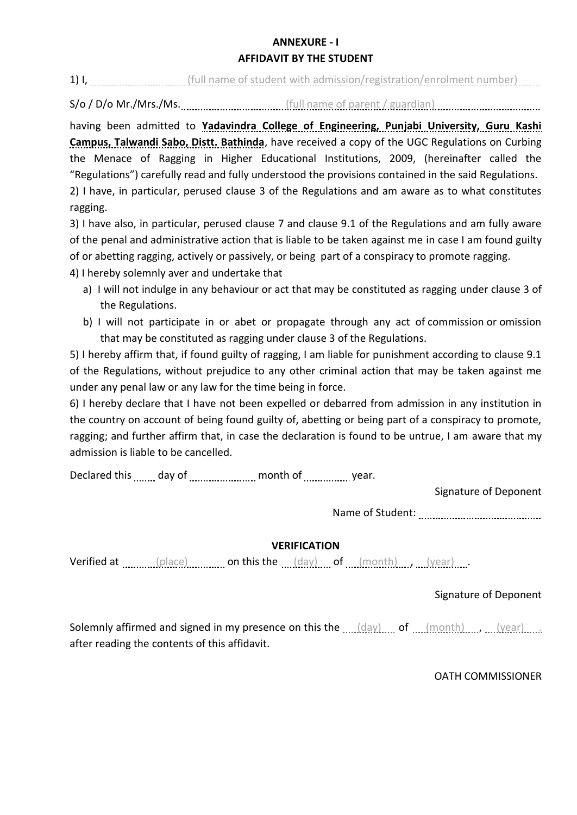#### **ANNEXURE - I**

#### **AFFIDAVIT BY THE STUDENT**

1) I, [[Ull name of student with admission/registration/enrolment number] [[Ull name of student with admission/registration/enrolment number] [[Ull name of student with admission/registration/enrolment number] [[Ull name o

S/o / D/o Mr./Mrs./Ms. [11] [12] (full name of parent / guardian) [12] (statement of parent and all manners of parent  $\frac{1}{2}$  guardian) [13]  $\frac{1}{2}$  (5)  $\frac{1}{2}$  (5)  $\frac{1}{2}$  (6)  $\frac{1}{2}$  (6)  $\frac{1}{2}$  (6)  $\frac{1}{2}$ 

having been admitted to **Yadavindra College of Engineering, Punjabi University, Guru Kashi Campus, Talwandi Sabo, Distt. Bathinda**, have received a copy of the UGC Regulations on Curbing the Menace of Ragging in Higher Educational Institutions, 2009, (hereinafter called the "Regulations") carefully read and fully understood the provisions contained in the said Regulations. 2) I have, in particular, perused clause 3 of the Regulations and am aware as to what constitutes

ragging.

3) I have also, in particular, perused clause 7 and clause 9.1 of the Regulations and am fully aware of the penal and administrative action that is liable to be taken against me in case I am found guilty of or abetting ragging, actively or passively, or being part of a conspiracy to promote ragging.

4) I hereby solemnly aver and undertake that

- a) I will not indulge in any behaviour or act that may be constituted as ragging under clause 3 of the Regulations.
- b) I will not participate in or abet or propagate through any act of commission or omission that may be constituted as ragging under clause 3 of the Regulations.

5) I hereby affirm that, if found guilty of ragging, I am liable for punishment according to clause 9.1 of the Regulations, without prejudice to any other criminal action that may be taken against me under any penal law or any law for the time being in force.

6) I hereby declare that I have not been expelled or debarred from admission in any institution in the country on account of being found guilty of, abetting or being part of a conspiracy to promote, ragging; and further affirm that, in case the declaration is found to be untrue, I am aware that my admission is liable to be cancelled.

Declared this ........ day of ....................... month of ..................... year.

Signature of Deponent

Name of Student:

# **VERIFICATION**

Verified at  $\frac{p}{q}$  (place)  $\frac{p}{q}$  on this the  $\frac{p}{q}$  (day)  $\frac{p}{q}$  of  $\frac{p}{q}$  (month)  $\frac{p}{q}$  (year) ...

# Signature of Deponent

Solemnly affirmed and signed in my presence on this the  $\ldots$  (day)  $\ldots$  of  $\ldots$  (month)  $\ldots$  , (year)  $\ldots$ . after reading the contents of this affidavit.

# OATH COMMISSIONER